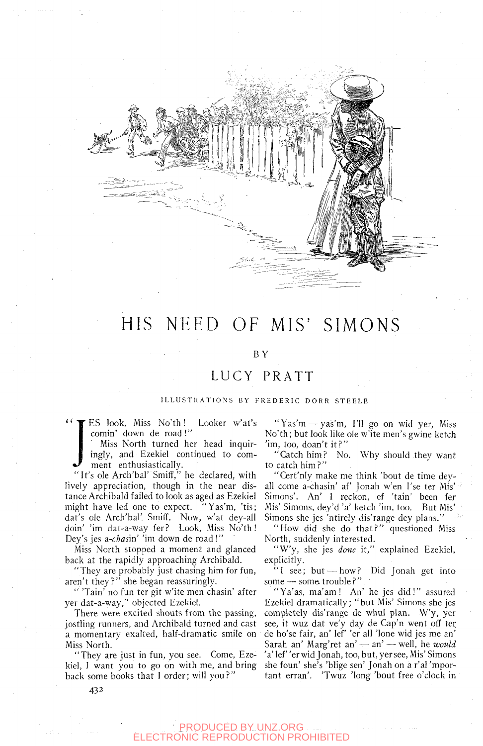

# HIS NEED OF MIS' SIMONS

### BY

## LUCY PRATT

#### ILLUSTRATIONS BY FREDERIC DORR STEELE

comin' down de road !"

ES look, Miss No'th! Looker w'at's<br>
comin' down de road!"<br>
Miss North turned her head inquir-<br>
ingly, and Ezekiel continued to com-<br>
ment enthusiastically. Miss North turned her head inquiringly, and Ezekiel continued to comment enthusiastically.

"It's ole Arch'bal' Smiff," he declared, with lively appreciation, though in the near distance Archibald failed to look as aged as Ezekiel might have led one to expect. dat's ole Arch'bal'. Smiff. Now, w'at dey-all doin' 'im dat-a-way fer? Look, Miss No'th! Dey's jes a-*chasin'* 'im down de road !'

.Miss North stopped a moment and glanced back at the rapidly approaching Archibald.

"They are probably just chasing him for fun, aren't they?" she began reassuringly.

" 'Tain' no fun ter git w'ite men chasin' after yer dat-a-way," objected Ezekiel.

There were excited shouts from the passing, jostling runners, and Archibald turned and cast a momentary exalted, half-dramatic smile on Miss North.

"They are just in fun, you see. Come, Ezekiel, 1 want you to go on with me, and bring back some books that I order; will you?"

"Yas'm—yas'm, I'll go on wid yer. Miss No'th; but look like ole w'ite men's gwine ketch 'im, too, doan't it?"

"Catch him? No. Why should they want to catch him?"

"Cert'nly make me think 'bout de time deyall come a-chasin' af Jonah w'en I'se ter Mis' Simons'. An' I reckon, ef 'tain' been fer Mis' Simons, dey'd 'a' ketch 'im, too. But Mis' Simons she jes 'ntirely dis'range dey plans."

"How did she do that?" questioned Miss North, suddenly interested.

"W'y, she jes *done* it," explained Ezekiel, explicitly.

" I see; but — how? Did Jonah get into some — some trouble?"

"Ya'as, ma'am! An' he jes did!" assured Ezekiel dramatically; "but Mis' Simons she jes completely dis'range de whul plan. W'y, yer see, it wuz dat ve'y day de Cap'n went off ter de ho'se fair, an' lef 'er all 'lone wid jes me an' Sarah an' Marg'ret an' — an' — well, he *would*  'a' lef 'er wid Jonah, too, but, yer see. Mis' Simons she foun' she's 'blige sen' Jonah on a r'al 'mportant erran'. 'Twuz 'long 'bout free o'clock in

432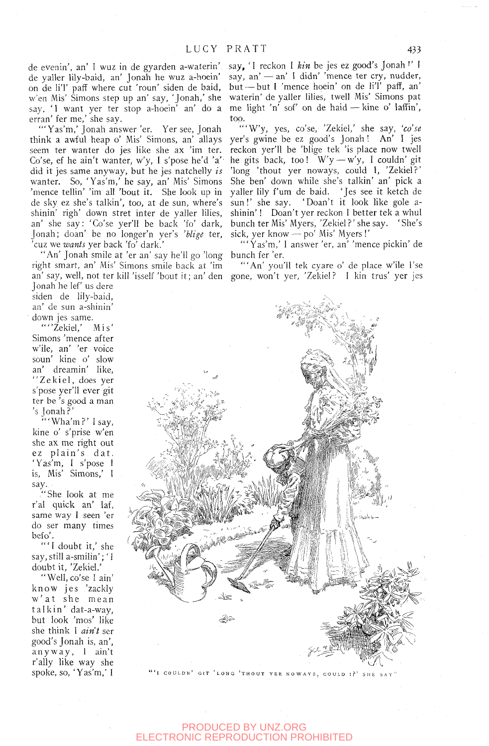de evenin', an' I wuz in de gyarden a-waterin' de yaller lily-baid, an' Jonah he wuz a-hoein' on de li'l' paff where cut 'roun' siden de baid, w'en Mis' Simons step up an' say, 'Jonah,' she say, 'I want yer ter stop a-hoein' an' do a erran' fer me,' she say.

"'Yas'm,' Jonah answer 'er. Yer see, Jonah think a awful heap o' Mis' Simons, an' allays seem ter wanter do jes like she ax 'im ter. Co'se, ef he ain't wanter, w'y, I s'pose he'd 'a' did it jes same anyway, but he jes natchelly *is*  wanter. So, 'Yas'm,' he say, an' Mis' Simons 'mence tellin' 'im all 'bout it. She look up in de sky ez she's talkin', too, at de sun, where's shinin' righ' down stret inter de yaller lilies, an' she say: 'Co'se yer'll be back 'fo' dark, Jonah; doan' be no longer'n yer's *'blige* ter, 'cuz we *wants* yer back 'fo' dark.'

"An' Jonah smile at 'er an' say he'll go 'long right smart, an' Mis' Simons smile back at 'im

Jonah he lef' us dere siden de lily-baid, an' de sun a-shinin' down jes same.

""Zekiel,' Mis' Simons 'mence after w'ile, an' 'er voice soun' kine o' slow an' dreamin' like, "Zekiel, does yer s'pose yer'll ever git ter be 's good a man 's Jonah?'

"'Wha'm?' I say, kine o' s'prise w'en she ax me right out ez plain's dat. 'Yas'm, I s'pose I is. Mis' Simons,' 1 say.

"She look at me r'al quick an' laf, same way I seen 'er do ser many times befo'.

"'I doubt it,' she say, still a-smilin'; 'I doubt it, 'Zekiel.'

"Well, co'se I ain' know jes 'zackly w'at she mean talkin' dat-a-way. but look 'mos' like she think 1 *ain't* ser good's Jonah is, an', anyway , 1 ain't r'ally like way she spoke, so, 'Yas'm,' I say, 'I reckon I *kin* be jes ez good's Jonah !' I say, an' — an' 1 didn' 'mence ter cry, nudder, but — but I 'mence hoein' on de li'l' paff, an' waterin' de yaller lilies, twell Mis' Simons pat me light 'n' sof' on de haid — kine o' laffin', too.

"'W'y, yes, co'se, 'Zekiel,' she say, *'co'se*  yer's gwine be ez good's Jonah ! An' I jes reckon yer'll be 'blige tek 'is place now twell he gits back, too!  $W'y - w'y$ , I couldn' git 'long 'thout yer noways, could I, 'Zekiel?' She ben' down while she's talkin' an' pick a yaller lily f'um de baid. 'Jes see it ketch de sun!' she say. 'Doan't it look like gole ashinin'! Doan't yer reckon 1 better tek a whul bunch ter Mis' Myers, 'Zekiel?' she say. 'She's sick, yer know — po' Mis' Myers !'

"'Yas'm,' 1 answer 'er, an' 'mence pickin' de bunch fer 'er.

an' say, well, not ter kill 'isself 'bout it; an' den gone, won't yer, 'Zekiel? 1 kin trus' yer jes "'An' you'll tek cyare o' de place w'ile I'se



I COULDN' GIT 'LONG 'THOUT YER NOWAYS, COULD I?' SHE SAY"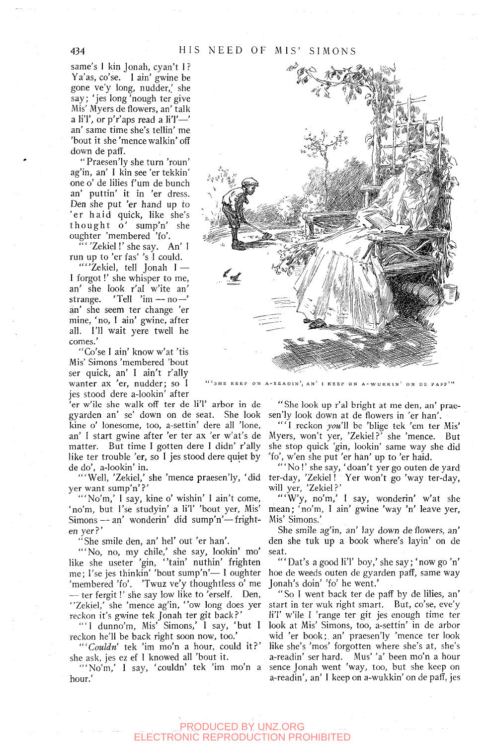same's I kin Jonah, cyan't I ? Ya'as, co'se. I ain' gwine be gone ve'y long, nudder,' she say; 'jes long 'nough ter give Mis' Myers de flowers, an' talk a li'l', or p'r'aps read a li'l' $-$ ' an' same time she's tellin' me 'bout it she 'mence walkin' off down de paff.

" Praesen'ly she turn 'roun' ag'in, an' I kin see 'er tekkin' one o' de lilies f um de bunch an' puttin' it in 'er dress. Den she put 'er hand up to 'er haid quick, like she's thought o' sump'n' she oughter 'membered 'fo'.

"Zekiel!' she say. An' I run up to 'er fas' 's I could.

""Zekiel, tell Jonah I -1 forgot!' she whisper to me, an' she look r'al w'ite an' strange. 'Tell ' $im - no$ an' she seem ter change 'er mine, 'no, I ain' gwine, after all. I'll wait yere twell he comes.'

"Co'se I ain' know w'at 'tis Mis' Simons 'membered 'bout ser quick, an' I ain't r'ally wanter ax 'er, nudder; so I jes stood dere a-lookin' after

er w'ile she walk off ter de li'l' arbor in de gyarden an' se' down on de seat. She look kine o' lonesome, too, a-settin' dere all 'lone, an' I start gwine after 'er ter ax 'er w'at's de matter. But time I gotten dere I didn' r'ally like ter trouble 'er, so I jes stood dere quiet by de do', a-lookin' in.

'"Well, 'Zekiel,' she 'mence praesen'ly, 'did yer want sump'n'?'

"'No'm,' I say, kine o' wishin' I ain't come, 'no'm, but I'se studyin' a li'l' 'bout yer, Mis' Simons — an' wonderin' did sump'n'—frighten yer?'

"She smile den, an' hel' out 'er han'.

'"No, no, my chile,' she say, lookin' mo' like she useter 'gin, "tain' nuthin' frighten 'membered 'fo'. 'Twuz ve'y thoughtless o' me — ter fergit!' she say low like to 'erself. Den, "Zekiel,' she 'mence ag'in, "ow long does yer reckon it's gwine tek Jonah ter git back?'

"'1 dunno'm. Mis' Simons,' I say, 'but I reckon he'll be back right soon now, too.'

*"'Couldn'* tek 'im mo'n a hour, could it? ' she ask, jes ez ef 1 knowed all 'bout it.

'"No'm,' I say, 'couldn' tek 'im mo'n a hour.'



ON A-READIN', AN' 1 KEEP ON A-WUKKIN' ON DE PAFF'"

"She look up r'al bright at me den, an' praesen'ly look down at de flowers in 'er han'.

" 'I reckon *you'll* be 'blige tek 'em ter Mis' Myers, won't yer, 'Zekiel?' she 'mence. But she stop quick 'gin, lookin' same way she did 'fo', w'en she put 'er han' up to 'er haid.

'"No !' she say, 'doan't yer go outen de yard ter-day, 'Zekiel! Yer won't go 'way ter-day, will yer, 'Zekiel?'

"'W'y, no'm,' I say, wonderin' w'at she mean; 'no'm, I ain' gwine 'way 'n' leave yer, Mis' Simons.'

She smile ag'in, an' lay down de flowers, an' den she tuk up a book where's layin' on de seat.

me; I'se jes thinkin' 'bout sump'n'— 1 oughter hoe de weeds outen de gyarden paflf, same way " 'Dat's a good li'l' boy,' she say; 'now go 'n' Jonah's doin' 'fo' he went.'

> "So I went back ter de paff by de lilies, an' start in ter wuk right smart. But, co'se, eve'y liT w'ile 1 'range ter git jes enough time ter look at Mis' Simons, too, a-settin' in de arbor wid 'er book;, an' praesen'ly 'mence ter look like she's 'mos' forgotten where she's at, she's a-readin' ser hard. Mus' 'a' been mo'n a hour sence Jonah went 'way, too, but she keep on a-readin', an' I keep on a-wukkin' on de paff, jes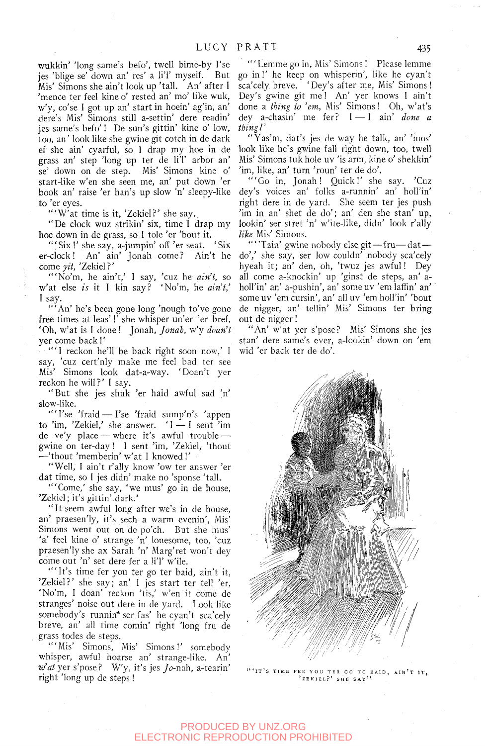wukkin' 'long same's befo', twell bime-by I'se jes 'blige se' down an' res' a liT myself. But Mis' Simons she ain't look up 'tall. An' after I 'mence ter feel kine o' rested an' mo' like wuk, w'y, co'se I got up an' start in hoein' ag'in, an' dere's Mis' Simons still a-settin' dere readin' jes same's befo'! De sun's gittin' kine o' low, too, an' look like she gwine git cotch in de dark ef she ain' cyarful, so I drap my hoe in de grass an' step 'long up ter de li'l' arbor an' se' down on de step. Mis' Simons kine o' start-like w'en she seen me, an' put down 'er book an' raise 'er ban's up slow 'n' sleepy-like to 'er eyes.

"'W'at time is it, 'Zekiel?' she say.

"De clock wuz strikin' six, time I drap my hoe down in de grass, so I tole 'er 'bout it.

'"Six !' she say, a-jumpin' off 'er seat. 'Six er-clock! An' ain' Jonah come? Ain't he come *yit,* 'Zekiel?'

"'No'm, he ain't,' I say, 'cuz he *ain't,* so w'at else *is* it I kin say? 'No'm, he *ain't,'*  I say.

'"An' he's been gone long 'nough to've gone free times at leas'!' she whisper un'er 'er bref. 'Oh, w'at is 1 done! Jonah, *Jonah,* w'y *doan't*  yer come back!'

" 'I reckon he'll be back right soon now,' 1 say, 'cuz cert'nly make me feel bad ter see Mis' Simons look dat-a-way. 'Doan't yer reckon he will?' I say.

"But she jes shuk 'er haid awful sad 'n' slow-like.

"'I'se 'fraid - I'se 'fraid sump'n's 'appen to 'im, 'Zekiel,' she answer. '1 — I sent 'im de ve'y place — where it's awful trouble gwine on ter-day ! 1 sent 'im, 'Zekiel, 'thout —'thout 'memberin' w'at 1 knowed !'

"Well, I ain't r'ally know 'ow ter answer 'er dat time, so I jes didn' make no 'sponse 'tall.

"'Come,' she say, 'we mus' go in de house, 'Zekiel; it's gittin' dark.'

" It seem awful long after we's in de house, an' praesen'ly, it's sech a warm evenin'. Mis' Simons went out on de po'ch. But she mus' 'a' feel kine o' strange 'n' lonesome, too, 'cuz praesen'ly she ax Sarah 'n' Marg'ret won't dey come out 'n' set dere fer a li'l' w'ile.

'"It's time fer you ter go ter baid, ain't it, 'Zekiel?' she say; an' 1 jes start ter tell 'er, 'No'm, I doan' reckon 'tis,' w'en it come de stranges' noise out dere in de yard. Look like somebody's runnin\* ser fas' he cyan't sca'cely breve, an' all time comin' right 'long fru de grass todes de steps.

"'Mis' Simons, Mis' Simons!' somebody whisper, awful hoarse an' strange-like. An' *w'at* yer s'pose? W'y, it's jes *Jo-nah*, a-tearin' right 'long up de steps !

"'Lemme go in. Mis' Simons ! Please lemme go in!' he keep on whisperin', like he cyan't sca'cely breve. 'Dey's after me. Mis' Simons I Dey's gwine git me! An' yer knows I ain't done a *thing to 'em.* Mis' Simons ! Oh, w'at's dey a-chasin' me fer? 1 — I ain' *done a thing!'* 

Yas'm, dat's jes de way he talk, an' 'mos' look like he's gwine fall right down, too, twell Mis' Simons tuk hole uv 'is arm, kine o' shekkin' 'im, like, an' turn 'roun' ter de do'.

"'Go in, Jonah! Quick!' she say. 'Cuz dey's voices an' folks a-runnin' an' holl'in' right dere in de yard. She seem ter jes push 'im in an' shet de do'; an' den she stan' up, lookin' ser stret 'n' w'ite-Iike, didn' look r'ally *like* Mis' Simons.

'"'Tain' gwine nobody else git—fru—dat do',' she say, ser low couldn' nobody sca'cely hyeah it; an' den, oh, 'twuz jes awful! Dey all come a-knockin' up 'ginst de steps, an' aholl'in' an' a-pushin', an' some uv 'em laffin' an' some uv 'em cursin', an' all uv 'em holl'in' 'bout de nigger, an' tellin' Mis' Simons ter bring out de nigger!

"An' w'at yer s'pose? Mis' Simons she jes Stan' dere same's ever, a-Iookin' down on 'em wid 'er back ter de do'.



"IT'S TIME FER YOU TER GO TO BAID, AIN'T IT, 'TER 'NO DE SAY''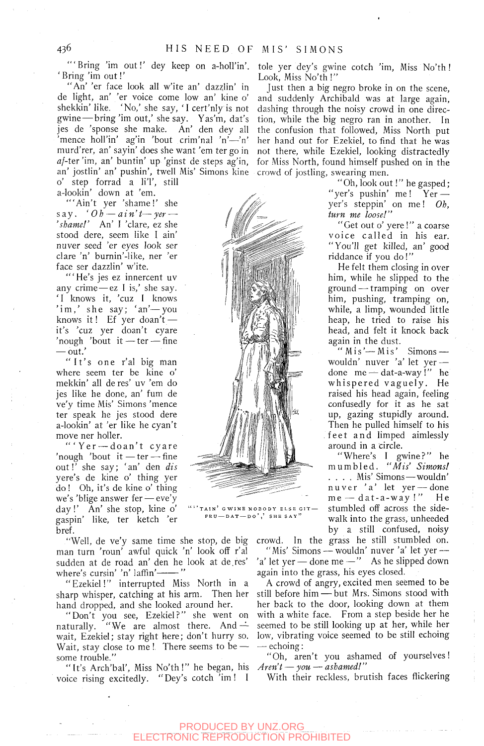'"Bring 'im out!' dey keep on a-holl'in'. 'Bring 'im out!'

"An' 'er face look all w'ite an' dazzlin' in de light, an' 'er voice come low an' kine o' shekkin' like. 'No,' she say, 'I cert'nly is not gwine — bring'im out,' she say. Yas'm, dat's jes de 'sponse she make. An' den dey all 'mence holl'in' ag'in 'bout crim'nal 'n'—'n' murd'rer, an' sayin' does she want 'em ter go in  $af$ -ter 'im, an' buntin' up 'ginst de steps ag'in, an' jostlin' an' pushin', twell Mis' Simons kine crowd of jostling, swearing men. o' step forrad a li'I', still

a-lookin' down at 'em.

"'Ain't yer 'shame!' she say . *'Oh* — *a in't*— *yer* — *'shame!'* An' 1 'dare, ez she stood dere, seem like I ain' nuver seed 'er eyes look ser clare 'n' burnin'-like, ner 'er face ser dazzlin' w'ite.

"'He's jes ez innercent uv any crime—ez 1 is,' she say. ' I knows it, 'cuz I knows 'im,' she say; 'an'-you knows it! Ef yer doan't it's 'cuz yer doan't cyare 'nough 'bout it — ter — fine — out.'

"It's one r'al big man where seem ter be kine o' mekkin' all de res' uv 'em do jes like he done, an' fum de ve'y time Mis' Simons 'mence ter speak he jes stood dere a-lookin' at 'er like he cyan't move ner holler.

"'Yer-doan't cyare 'nough 'bout it — ter — fine out!' she say; ' an' den *dis*  yere's de kine o' thing yer do! Oh, it's de kine o' thing we's 'blige answer fer — eve'y day!' An' she stop, kine o' gaspin' like, ter ketch 'er bref.

"Well, de ve'y same time she stop, de big man turn 'roun' awful quick 'n' look off r'al sudden at de road an' den he look at de.res' where's cursin' 'n' laffin' ----- "

"Ezekiel!" interrupted Miss North in a sharp whisper, catching at his arm. Then her hand dropped, and she looked around her.

"Don't you see, Ezekiel?" she went on naturally. "We are almost there. And  $\div$ wait, Ezekiel; stay right here; don't hurry so. Wait, stay close to me !. There seems to be  $$ some trouble."

"It's Arch'bal', Miss No'th!" he began, his voice rising excitedly. " Dey's cotch 'im ! 1

tole yer dey's gwine cotch 'im. Miss No'th ! Look, Miss No'th !"

Just then a big negro broke in on the scene, and suddenly Archibald was at large again, dashing through the noisy crowd in one direction, while the big negro ran in another. In the confusion that followed. Miss North put her hand out for Ezekiel, to find that he was not there, while Ezekiel, looking distractedly for Miss North, found himself pushed on in the

> " Oh, look out !" he gasped; "yer's pushin' me! Yer yer's steppin' on me! *Oh, turn me loose!"*

> "Get out o' yere !" a coarse voice called in his ear. "You'll get killed, an' good riddance if you do !"

> He felt them closing in over him, while he slipped to the ground — tramping on over him, pushing, tramping on, while, a limp, wounded little heap, he tried to raise his head, and felt it knock back again in the dust.

> "Mis'—Mis' Simons wouldn' nuver 'a' let yer done me — dat-a-way !" he whispered vaguely. He raised his head again, feeling confusedly for it as he sat up, gazing stupidly around. Then he pulled himself to his feet an d limped aimlessly around in a circle.

> "Where's I gwine?" he mumbled . *"Mis' Simons!*  ... . Mis' Simons—wouldn' nuver 'a' let yer — done  $me - dat-a-way$ !" He stumbled off across the sidewalk into the grass, unheeded by a still confused, noisy

crowd In the grass he still stumbled on. "Mis' Simons wouldn' nuver 'a' let yer — 'a' let yer — done me —" As he slipped down again into the grass, his eyes closed.

A crowd of angry, excited men seemed to be still before him — but Mrs. Simons stood with her back to the door, looking down at them with a white face. From a step beside her he seemed to be still looking up at her, while her low, vibrating voice seemed to be still echoing — echoing:

"Oh, aren't you ashamed of yourselves! *Aren't* — *you* — *ashamed!"* 

With their reckless, brutish faces flickering



TAIN' GWINE NOBODY ELSE GIT-

SHE SAY

 $FRU - DAT - DO'$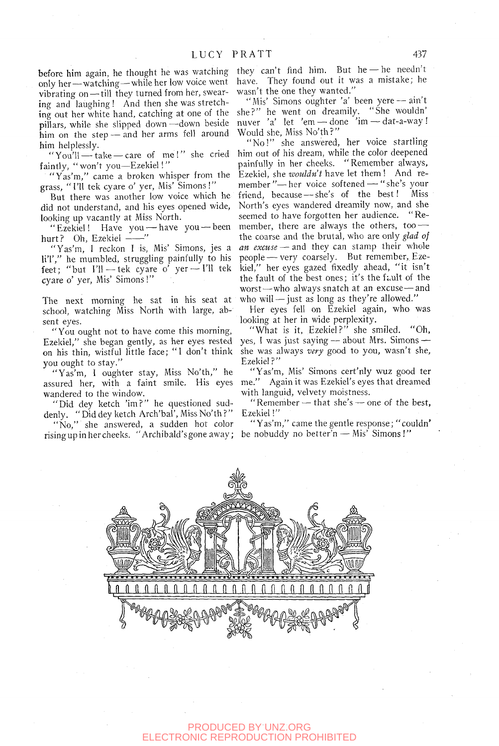before him again, he thought he was watching only her—watching—while her low voice went vibrating on - till they turned from her, swearing and laughing ! And then she was stretching out her white hand, catching at one of the she?" he went on dreamily. "She wouldn' pillars, while she slipped down —down beside him on the step — and her arms fell around him helplessly.

"You'll — take — care of me!" she cried faintly, "won't you-Ezekiel!"

"Yas'm," came a broken whisper from the grass, "I'll tek cyare o' yer. Mis' Simons!"

But there was another low voice which he did not understand, and his eyes opened wide, looking up vacantly at Miss North.

"Ezekiel! Have you — have you — been hurt? Oh, Ezekiel  $--$ "

"Yas'm, 1 reckon I is. Mis' Simons, jes a li'l'," he mumbled, struggling painfully to his feet; "but I'll — tek cyare o' yer —I'll tek cyare o' yer. Mis' Simons!"

The next morning he sat in his seat at school, watching Miss North with large, absent eyes.

"You ought not to have come this morning, Ezekiel," she began gently, as her eyes rested on his thin, wistful little face; " I don't think you ought to stay."

"Yas'm, I oughter stay, Miss No'th," he assured her, with a faint smile. His eyes wandered to the window.

"Did dey ketch 'im?" he questioned suddenly. " Did dey ketch Arch'bal', Miss No'th ? "

"No," she answered, a sudden hot color risingup in her cheeks. "Archibald's gone away;

they can't find him. But he — he needn't have. They found out it was a mistake; he wasn't the one they wanted."

"Mis' Simons oughter 'a' been yere - ain't nuver 'a' let 'em — done 'im — dat-a-way ! Would she. Miss No'th?"

"No!" she answered, her voice startling him out of his dream, while the color deepened painfully in her cheeks. "Remember always, Ezekiel, she *wouldn't* have let them ! And remember"— her voice softened — "she's your friend, because — she's of the best! Miss North's eyes wandered dreamily now, and she seemed to have forgotten her audience. "Remember, there are always the others, too the coarse and the brutal, who are only *glad of an excuse* — and they can stamp their whole people — very coarsely. But remember,, Ezekiel," her eyes gazed fixedly ahead, "it isn't the fault of the best ones; it's the fault of the worst—who always snatch at an excuse—and who will — just as long as they're allowed."

Her eyes fell on Ezekiel again, who was looking at her in wide perplexity.

"What is it, Ezekiel?" she smiled. "Oh, yes, 1 was just saying — about Mrs. Simons she was always *very* good to you, wasn't she, Ezekiel?"

"Yas'm, Mis' Simons cert'nly wuz good ter me." Again it was Ezekiel's eyes that dreamed with languid, velvety moistness.

"Remember — that she's — one of the best, Ezekiel!"

"Yas'm," came the gentle response; "couldn' be nobuddy no better'n — Mis' Simons!"